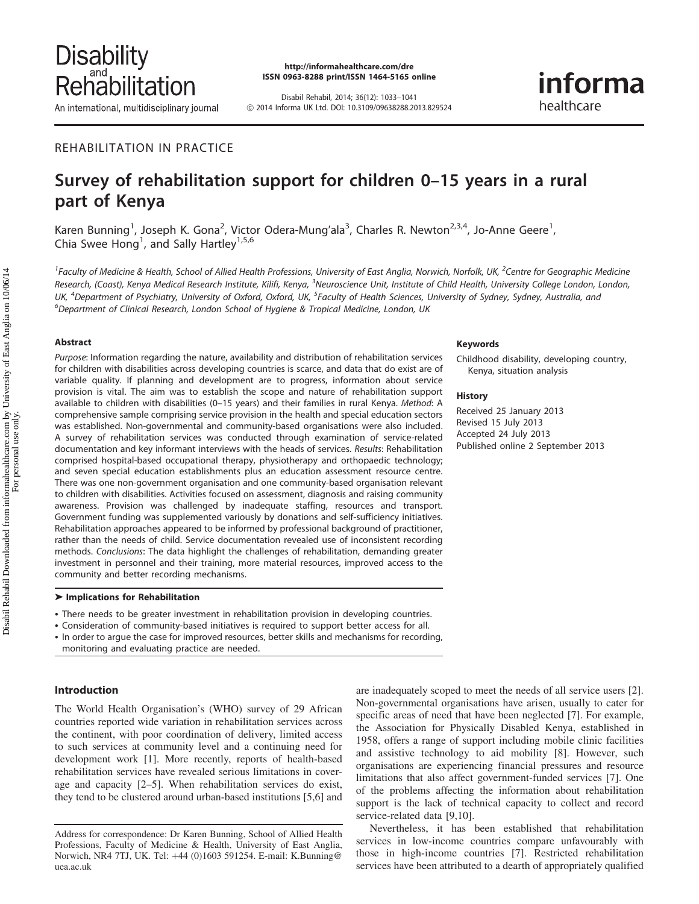An international, multidisciplinary journal

http://informahealthcare.com/dre ISSN 0963-8288 print/ISSN 1464-5165 online

Disabil Rehabil, 2014; 36(12): 1033–1041 ! 2014 Informa UK Ltd. DOI: 10.3109/09638288.2013.829524 informa healthcare

REHABILITATION IN PRACTICE

# Survey of rehabilitation support for children 0–15 years in a rural part of Kenya

Karen Bunning<sup>1</sup>, Joseph K. Gona<sup>2</sup>, Victor Odera-Mung'ala<sup>3</sup>, Charles R. Newton<sup>2,3,4</sup>, Jo-Anne Geere<sup>1</sup>, Chia Swee Hong<sup>1</sup>, and Sally Hartley<sup>1,5,6</sup>

<sup>1</sup> Faculty of Medicine & Health, School of Allied Health Professions, University of East Anglia, Norwich, Norfolk, UK, <sup>2</sup>Centre for Geographic Medicine Research, (Coast), Kenya Medical Research Institute, Kilifi, Kenya, <sup>3</sup>Neuroscience Unit, Institute of Child Health, University College London, London, UK, <sup>4</sup>Department of Psychiatry, University of Oxford, Oxford, UK, <sup>5</sup>Faculty of Health Sciences, University of Sydney, Sydney, Australia, and <sup>6</sup>Department of Clinical Research, London School of Hygiene & Tropical Medicine, London, UK

#### Abstract

Purpose: Information regarding the nature, availability and distribution of rehabilitation services for children with disabilities across developing countries is scarce, and data that do exist are of variable quality. If planning and development are to progress, information about service provision is vital. The aim was to establish the scope and nature of rehabilitation support available to children with disabilities (0-15 years) and their families in rural Kenya. Method: A comprehensive sample comprising service provision in the health and special education sectors was established. Non-governmental and community-based organisations were also included. A survey of rehabilitation services was conducted through examination of service-related documentation and key informant interviews with the heads of services. Results: Rehabilitation comprised hospital-based occupational therapy, physiotherapy and orthopaedic technology; and seven special education establishments plus an education assessment resource centre. There was one non-government organisation and one community-based organisation relevant to children with disabilities. Activities focused on assessment, diagnosis and raising community awareness. Provision was challenged by inadequate staffing, resources and transport. Government funding was supplemented variously by donations and self-sufficiency initiatives. Rehabilitation approaches appeared to be informed by professional background of practitioner, rather than the needs of child. Service documentation revealed use of inconsistent recording methods. Conclusions: The data highlight the challenges of rehabilitation, demanding greater investment in personnel and their training, more material resources, improved access to the community and better recording mechanisms.

# - Implications for Rehabilitation

- There needs to be greater investment in rehabilitation provision in developing countries.
- Consideration of community-based initiatives is required to support better access for all.
- In order to argue the case for improved resources, better skills and mechanisms for recording, monitoring and evaluating practice are needed.

# Introduction

The World Health Organisation's (WHO) survey of 29 African countries reported wide variation in rehabilitation services across the continent, with poor coordination of delivery, limited access to such services at community level and a continuing need for development work [[1\]](#page-7-0). More recently, reports of health-based rehabilitation services have revealed serious limitations in coverage and capacity [\[2–5](#page-7-0)]. When rehabilitation services do exist, they tend to be clustered around urban-based institutions [[5,6\]](#page-8-0) and

# Keywords

Childhood disability, developing country, Kenya, situation analysis

#### **History**

Received 25 January 2013 Revised 15 July 2013 Accepted 24 July 2013 Published online 2 September 2013

are inadequately scoped to meet the needs of all service users [[2](#page-7-0)]. Non-governmental organisations have arisen, usually to cater for specific areas of need that have been neglected [\[7](#page-8-0)]. For example, the Association for Physically Disabled Kenya, established in 1958, offers a range of support including mobile clinic facilities and assistive technology to aid mobility [[8\]](#page-8-0). However, such organisations are experiencing financial pressures and resource limitations that also affect government-funded services [\[7\]](#page-8-0). One of the problems affecting the information about rehabilitation support is the lack of technical capacity to collect and record service-related data [\[9,10\]](#page-8-0).

Nevertheless, it has been established that rehabilitation services in low-income countries compare unfavourably with those in high-income countries [[7](#page-8-0)]. Restricted rehabilitation services have been attributed to a dearth of appropriately qualified

Address for correspondence: Dr Karen Bunning, School of Allied Health Professions, Faculty of Medicine & Health, University of East Anglia, Norwich, NR4 7TJ, UK. Tel: +44 (0)1603 591254. E-mail: K.Bunning@ uea.ac.uk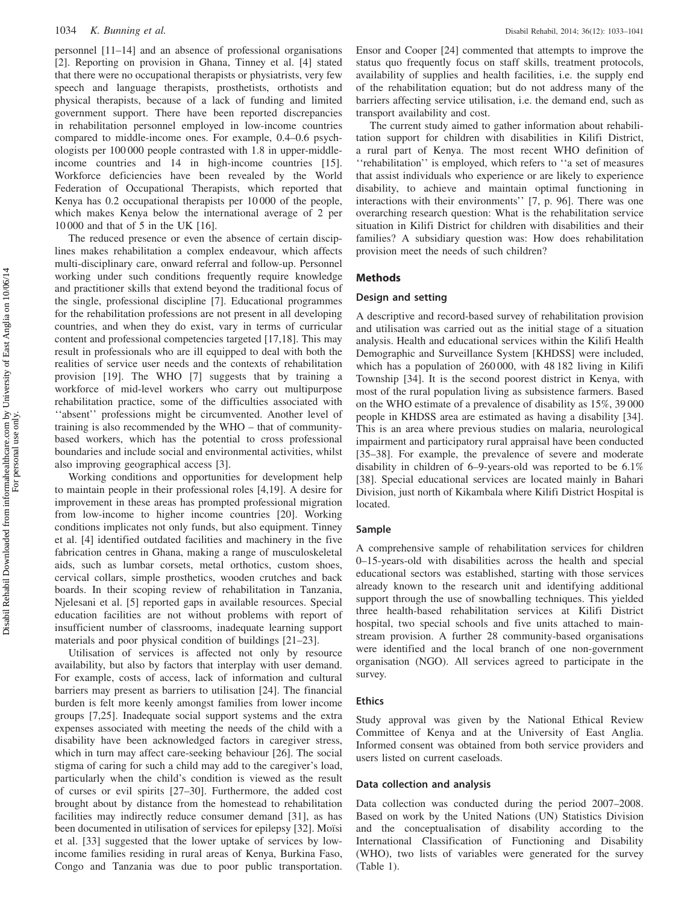personnel [[11–14](#page-8-0)] and an absence of professional organisations [\[2\]](#page-7-0). Reporting on provision in Ghana, Tinney et al. [\[4](#page-7-0)] stated that there were no occupational therapists or physiatrists, very few speech and language therapists, prosthetists, orthotists and physical therapists, because of a lack of funding and limited government support. There have been reported discrepancies in rehabilitation personnel employed in low-income countries compared to middle-income ones. For example, 0.4–0.6 psychologists per 100 000 people contrasted with 1.8 in upper-middleincome countries and 14 in high-income countries [[15](#page-8-0)]. Workforce deficiencies have been revealed by the World Federation of Occupational Therapists, which reported that Kenya has 0.2 occupational therapists per 10 000 of the people, which makes Kenya below the international average of 2 per 10 000 and that of 5 in the UK [[16](#page-8-0)].

The reduced presence or even the absence of certain disciplines makes rehabilitation a complex endeavour, which affects multi-disciplinary care, onward referral and follow-up. Personnel working under such conditions frequently require knowledge and practitioner skills that extend beyond the traditional focus of the single, professional discipline [\[7](#page-8-0)]. Educational programmes for the rehabilitation professions are not present in all developing countries, and when they do exist, vary in terms of curricular content and professional competencies targeted [[17](#page-8-0),[18](#page-8-0)]. This may result in professionals who are ill equipped to deal with both the realities of service user needs and the contexts of rehabilitation provision [\[19\]](#page-8-0). The WHO [[7](#page-8-0)] suggests that by training a workforce of mid-level workers who carry out multipurpose rehabilitation practice, some of the difficulties associated with ''absent'' professions might be circumvented. Another level of training is also recommended by the WHO – that of communitybased workers, which has the potential to cross professional boundaries and include social and environmental activities, whilst also improving geographical access [\[3](#page-7-0)].

Working conditions and opportunities for development help to maintain people in their professional roles [[4](#page-7-0),[19](#page-8-0)]. A desire for improvement in these areas has prompted professional migration from low-income to higher income countries [[20](#page-8-0)]. Working conditions implicates not only funds, but also equipment. Tinney et al. [\[4\]](#page-7-0) identified outdated facilities and machinery in the five fabrication centres in Ghana, making a range of musculoskeletal aids, such as lumbar corsets, metal orthotics, custom shoes, cervical collars, simple prosthetics, wooden crutches and back boards. In their scoping review of rehabilitation in Tanzania, Njelesani et al. [\[5](#page-8-0)] reported gaps in available resources. Special education facilities are not without problems with report of insufficient number of classrooms, inadequate learning support materials and poor physical condition of buildings [[21–23](#page-8-0)].

Utilisation of services is affected not only by resource availability, but also by factors that interplay with user demand. For example, costs of access, lack of information and cultural barriers may present as barriers to utilisation [\[24\]](#page-8-0). The financial burden is felt more keenly amongst families from lower income groups [[7,25](#page-8-0)]. Inadequate social support systems and the extra expenses associated with meeting the needs of the child with a disability have been acknowledged factors in caregiver stress, which in turn may affect care-seeking behaviour [[26](#page-8-0)]. The social stigma of caring for such a child may add to the caregiver's load, particularly when the child's condition is viewed as the result of curses or evil spirits [\[27–30\]](#page-8-0). Furthermore, the added cost brought about by distance from the homestead to rehabilitation facilities may indirectly reduce consumer demand [[31](#page-8-0)], as has been documented in utilisation of services for epilepsy [[32](#page-8-0)]. Moïsi et al. [\[33\]](#page-8-0) suggested that the lower uptake of services by lowincome families residing in rural areas of Kenya, Burkina Faso, Congo and Tanzania was due to poor public transportation. Ensor and Cooper [[24](#page-8-0)] commented that attempts to improve the status quo frequently focus on staff skills, treatment protocols, availability of supplies and health facilities, i.e. the supply end of the rehabilitation equation; but do not address many of the barriers affecting service utilisation, i.e. the demand end, such as transport availability and cost.

The current study aimed to gather information about rehabilitation support for children with disabilities in Kilifi District, a rural part of Kenya. The most recent WHO definition of ''rehabilitation'' is employed, which refers to ''a set of measures that assist individuals who experience or are likely to experience disability, to achieve and maintain optimal functioning in interactions with their environments'' [\[7](#page-8-0), p. 96]. There was one overarching research question: What is the rehabilitation service situation in Kilifi District for children with disabilities and their families? A subsidiary question was: How does rehabilitation provision meet the needs of such children?

# Methods

## Design and setting

A descriptive and record-based survey of rehabilitation provision and utilisation was carried out as the initial stage of a situation analysis. Health and educational services within the Kilifi Health Demographic and Surveillance System [KHDSS] were included, which has a population of 260 000, with 48 182 living in Kilifi Township [\[34\]](#page-8-0). It is the second poorest district in Kenya, with most of the rural population living as subsistence farmers. Based on the WHO estimate of a prevalence of disability as 15%, 39 000 people in KHDSS area are estimated as having a disability [[34](#page-8-0)]. This is an area where previous studies on malaria, neurological impairment and participatory rural appraisal have been conducted [[35–38\]](#page-8-0). For example, the prevalence of severe and moderate disability in children of 6–9-years-old was reported to be 6.1% [[38](#page-8-0)]. Special educational services are located mainly in Bahari Division, just north of Kikambala where Kilifi District Hospital is located.

#### Sample

A comprehensive sample of rehabilitation services for children 0–15-years-old with disabilities across the health and special educational sectors was established, starting with those services already known to the research unit and identifying additional support through the use of snowballing techniques. This yielded three health-based rehabilitation services at Kilifi District hospital, two special schools and five units attached to mainstream provision. A further 28 community-based organisations were identified and the local branch of one non-government organisation (NGO). All services agreed to participate in the survey.

#### Ethics

Study approval was given by the National Ethical Review Committee of Kenya and at the University of East Anglia. Informed consent was obtained from both service providers and users listed on current caseloads.

#### Data collection and analysis

Data collection was conducted during the period 2007–2008. Based on work by the United Nations (UN) Statistics Division and the conceptualisation of disability according to the International Classification of Functioning and Disability (WHO), two lists of variables were generated for the survey ([Table 1](#page-2-0)).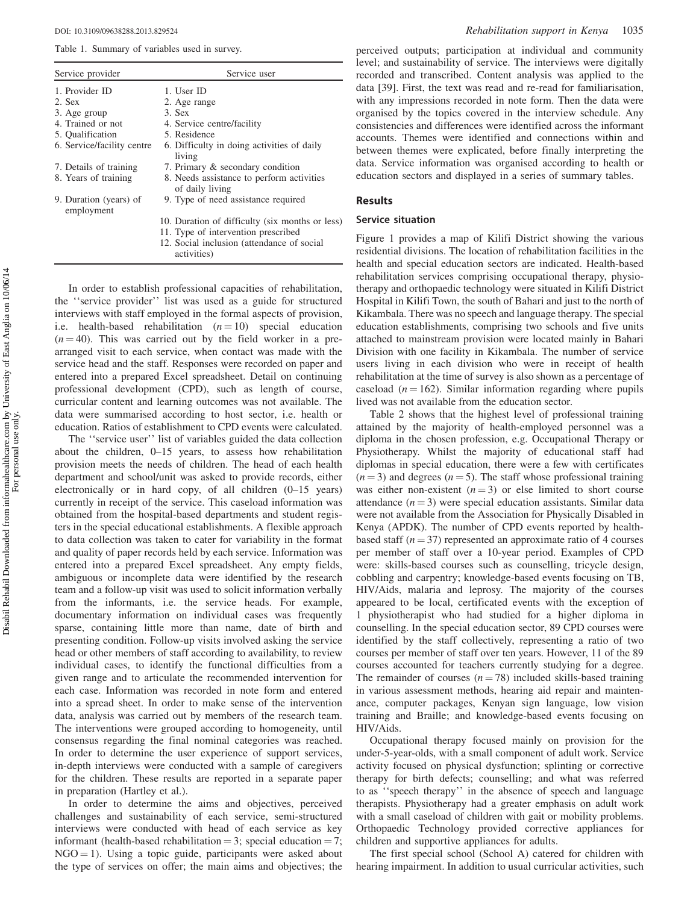<span id="page-2-0"></span>Table 1. Summary of variables used in survey.

| Service provider                     | Service user                                                 |
|--------------------------------------|--------------------------------------------------------------|
| 1. Provider ID                       | 1. User ID                                                   |
| 2. Sex                               | 2. Age range                                                 |
| 3. Age group                         | $3.$ Sex                                                     |
| 4. Trained or not                    | 4. Service centre/facility                                   |
| 5. Qualification                     | 5. Residence                                                 |
| 6. Service/facility centre           | 6. Difficulty in doing activities of daily<br>living         |
| 7. Details of training               | 7. Primary & secondary condition                             |
| 8. Years of training                 | 8. Needs assistance to perform activities<br>of daily living |
| 9. Duration (years) of<br>employment | 9. Type of need assistance required                          |
|                                      | 10. Duration of difficulty (six months or less)              |
|                                      | 11. Type of intervention prescribed                          |
|                                      | 12. Social inclusion (attendance of social<br>activities)    |

In order to establish professional capacities of rehabilitation, the ''service provider'' list was used as a guide for structured interviews with staff employed in the formal aspects of provision, i.e. health-based rehabilitation  $(n = 10)$  special education  $(n = 40)$ . This was carried out by the field worker in a prearranged visit to each service, when contact was made with the service head and the staff. Responses were recorded on paper and entered into a prepared Excel spreadsheet. Detail on continuing professional development (CPD), such as length of course, curricular content and learning outcomes was not available. The data were summarised according to host sector, i.e. health or education. Ratios of establishment to CPD events were calculated.

The ''service user'' list of variables guided the data collection about the children, 0–15 years, to assess how rehabilitation provision meets the needs of children. The head of each health department and school/unit was asked to provide records, either electronically or in hard copy, of all children (0–15 years) currently in receipt of the service. This caseload information was obtained from the hospital-based departments and student registers in the special educational establishments. A flexible approach to data collection was taken to cater for variability in the format and quality of paper records held by each service. Information was entered into a prepared Excel spreadsheet. Any empty fields, ambiguous or incomplete data were identified by the research team and a follow-up visit was used to solicit information verbally from the informants, i.e. the service heads. For example, documentary information on individual cases was frequently sparse, containing little more than name, date of birth and presenting condition. Follow-up visits involved asking the service head or other members of staff according to availability, to review individual cases, to identify the functional difficulties from a given range and to articulate the recommended intervention for each case. Information was recorded in note form and entered into a spread sheet. In order to make sense of the intervention data, analysis was carried out by members of the research team. The interventions were grouped according to homogeneity, until consensus regarding the final nominal categories was reached. In order to determine the user experience of support services, in-depth interviews were conducted with a sample of caregivers for the children. These results are reported in a separate paper in preparation (Hartley et al.).

In order to determine the aims and objectives, perceived challenges and sustainability of each service, semi-structured interviews were conducted with head of each service as key informant (health-based rehabilitation = 3; special education = 7;  $NGO = 1$ ). Using a topic guide, participants were asked about the type of services on offer; the main aims and objectives; the perceived outputs; participation at individual and community level; and sustainability of service. The interviews were digitally recorded and transcribed. Content analysis was applied to the data [[39](#page-8-0)]. First, the text was read and re-read for familiarisation, with any impressions recorded in note form. Then the data were organised by the topics covered in the interview schedule. Any consistencies and differences were identified across the informant accounts. Themes were identified and connections within and between themes were explicated, before finally interpreting the data. Service information was organised according to health or education sectors and displayed in a series of summary tables.

# Results

# Service situation

[Figure 1](#page-3-0) provides a map of Kilifi District showing the various residential divisions. The location of rehabilitation facilities in the health and special education sectors are indicated. Health-based rehabilitation services comprising occupational therapy, physiotherapy and orthopaedic technology were situated in Kilifi District Hospital in Kilifi Town, the south of Bahari and just to the north of Kikambala. There was no speech and language therapy. The special education establishments, comprising two schools and five units attached to mainstream provision were located mainly in Bahari Division with one facility in Kikambala. The number of service users living in each division who were in receipt of health rehabilitation at the time of survey is also shown as a percentage of caseload ( $n = 162$ ). Similar information regarding where pupils lived was not available from the education sector.

[Table 2](#page-3-0) shows that the highest level of professional training attained by the majority of health-employed personnel was a diploma in the chosen profession, e.g. Occupational Therapy or Physiotherapy. Whilst the majority of educational staff had diplomas in special education, there were a few with certificates  $(n = 3)$  and degrees  $(n = 5)$ . The staff whose professional training was either non-existent  $(n = 3)$  or else limited to short course attendance  $(n = 3)$  were special education assistants. Similar data were not available from the Association for Physically Disabled in Kenya (APDK). The number of CPD events reported by healthbased staff ( $n = 37$ ) represented an approximate ratio of 4 courses per member of staff over a 10-year period. Examples of CPD were: skills-based courses such as counselling, tricycle design, cobbling and carpentry; knowledge-based events focusing on TB, HIV/Aids, malaria and leprosy. The majority of the courses appeared to be local, certificated events with the exception of 1 physiotherapist who had studied for a higher diploma in counselling. In the special education sector, 89 CPD courses were identified by the staff collectively, representing a ratio of two courses per member of staff over ten years. However, 11 of the 89 courses accounted for teachers currently studying for a degree. The remainder of courses  $(n = 78)$  included skills-based training in various assessment methods, hearing aid repair and maintenance, computer packages, Kenyan sign language, low vision training and Braille; and knowledge-based events focusing on HIV/Aids.

Occupational therapy focused mainly on provision for the under-5-year-olds, with a small component of adult work. Service activity focused on physical dysfunction; splinting or corrective therapy for birth defects; counselling; and what was referred to as ''speech therapy'' in the absence of speech and language therapists. Physiotherapy had a greater emphasis on adult work with a small caseload of children with gait or mobility problems. Orthopaedic Technology provided corrective appliances for children and supportive appliances for adults.

The first special school (School A) catered for children with hearing impairment. In addition to usual curricular activities, such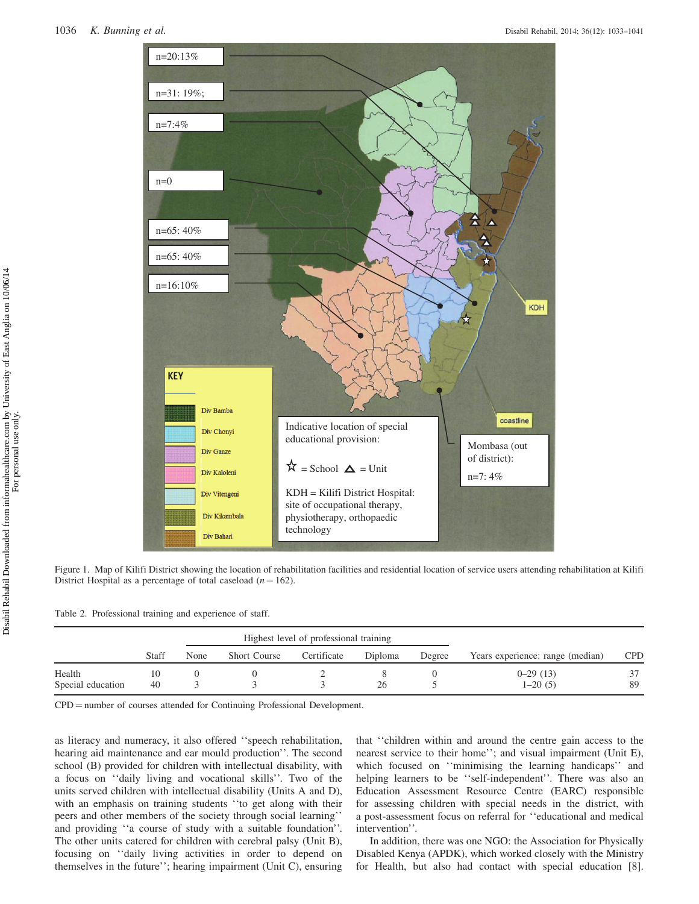<span id="page-3-0"></span>

Figure 1. Map of Kilifi District showing the location of rehabilitation facilities and residential location of service users attending rehabilitation at Kilifi District Hospital as a percentage of total caseload  $(n = 162)$ .

Table 2. Professional training and experience of staff.

|                   |       | Highest level of professional training |                     |             |         |        |                                  |            |
|-------------------|-------|----------------------------------------|---------------------|-------------|---------|--------|----------------------------------|------------|
|                   | Staff | None                                   | <b>Short Course</b> | Certificate | Diploma | Degree | Years experience: range (median) | <b>CPD</b> |
| Health            |       |                                        |                     |             |         |        | $0-29(13)$                       |            |
| Special education | 40    |                                        |                     |             | 26      |        | $1 - 20(5)$                      | 89         |

 $CPD$  = number of courses attended for Continuing Professional Development.

as literacy and numeracy, it also offered ''speech rehabilitation, hearing aid maintenance and ear mould production''. The second school (B) provided for children with intellectual disability, with a focus on ''daily living and vocational skills''. Two of the units served children with intellectual disability (Units A and D), with an emphasis on training students ''to get along with their peers and other members of the society through social learning'' and providing ''a course of study with a suitable foundation''. The other units catered for children with cerebral palsy (Unit B), focusing on ''daily living activities in order to depend on themselves in the future''; hearing impairment (Unit C), ensuring

that ''children within and around the centre gain access to the nearest service to their home''; and visual impairment (Unit E), which focused on ''minimising the learning handicaps'' and helping learners to be "self-independent". There was also an Education Assessment Resource Centre (EARC) responsible for assessing children with special needs in the district, with a post-assessment focus on referral for ''educational and medical intervention''.

In addition, there was one NGO: the Association for Physically Disabled Kenya (APDK), which worked closely with the Ministry for Health, but also had contact with special education [[8](#page-8-0)].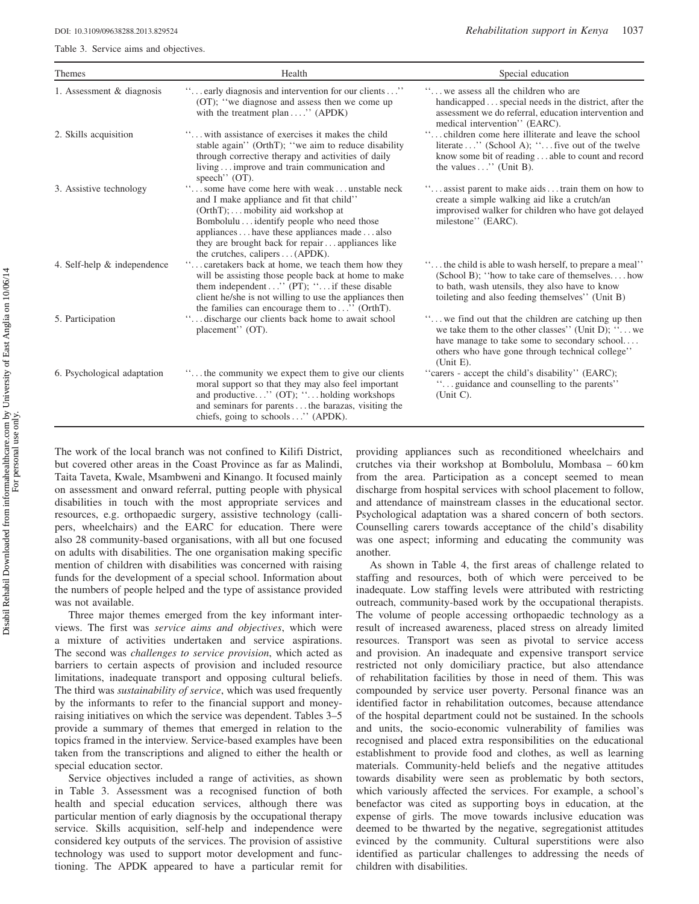Table 3. Service aims and objectives.

| <b>Themes</b>                 | Health                                                                                                                                                                                                                                                                                                                        | Special education                                                                                                                                                                                                         |
|-------------------------------|-------------------------------------------------------------------------------------------------------------------------------------------------------------------------------------------------------------------------------------------------------------------------------------------------------------------------------|---------------------------------------------------------------------------------------------------------------------------------------------------------------------------------------------------------------------------|
| 1. Assessment & diagnosis     | " early diagnosis and intervention for our clients"<br>(OT); "we diagnose and assess then we come up<br>with the treatment plan $\dots$ (APDK)                                                                                                                                                                                | " we assess all the children who are<br>handicapped special needs in the district, after the<br>assessment we do referral, education intervention and<br>medical intervention" (EARC).                                    |
| 2. Skills acquisition         | " with assistance of exercises it makes the child<br>stable again" (OrthT); "we aim to reduce disability<br>through corrective therapy and activities of daily<br>living improve and train communication and<br>speech" (OT).                                                                                                 | "children come here illiterate and leave the school<br>literate " (School A); " five out of the twelve<br>know some bit of reading able to count and record<br>the values $\ldots$ " (Unit B).                            |
| 3. Assistive technology       | " some have come here with weakunstable neck<br>and I make appliance and fit that child"<br>$(OrthT); \ldots$ mobility aid workshop at<br>Bombolulu identify people who need those<br>applianceshave these appliances madealso<br>they are brought back for repair  appliances like<br>the crutches, calipers $\dots$ (APDK). | " assist parent to make aids train them on how to<br>create a simple walking aid like a crutch/an<br>improvised walker for children who have got delayed<br>milestone" (EARC).                                            |
| 4. Self-help $&$ independence | " caretakers back at home, we teach them how they<br>will be assisting those people back at home to make<br>them independent $\dots$ (PT); " $\dots$ if these disable<br>client he/she is not willing to use the appliances then<br>the families can encourage them to $\dots$ ' (OrthT).                                     | " the child is able to wash herself, to prepare a meal"<br>(School B); "how to take care of themselves how<br>to bath, wash utensils, they also have to know<br>toileting and also feeding themselves" (Unit B)           |
| 5. Participation              | " discharge our clients back home to await school<br>placement" (OT).                                                                                                                                                                                                                                                         | " we find out that the children are catching up then<br>we take them to the other classes" (Unit D); " we<br>have manage to take some to secondary school<br>others who have gone through technical college"<br>(Unit E). |
| 6. Psychological adaptation   | " the community we expect them to give our clients<br>moral support so that they may also feel important<br>and productive" $(OT)$ ; " holding workshops<br>and seminars for parentsthe barazas, visiting the<br>chiefs, going to schools " (APDK).                                                                           | "carers - accept the child's disability" (EARC);<br>" guidance and counselling to the parents"<br>(Unit $C$ ).                                                                                                            |

The work of the local branch was not confined to Kilifi District, but covered other areas in the Coast Province as far as Malindi, Taita Taveta, Kwale, Msambweni and Kinango. It focused mainly on assessment and onward referral, putting people with physical disabilities in touch with the most appropriate services and resources, e.g. orthopaedic surgery, assistive technology (callipers, wheelchairs) and the EARC for education. There were also 28 community-based organisations, with all but one focused on adults with disabilities. The one organisation making specific mention of children with disabilities was concerned with raising funds for the development of a special school. Information about the numbers of people helped and the type of assistance provided was not available.

Three major themes emerged from the key informant interviews. The first was service aims and objectives, which were a mixture of activities undertaken and service aspirations. The second was challenges to service provision, which acted as barriers to certain aspects of provision and included resource limitations, inadequate transport and opposing cultural beliefs. The third was *sustainability of service*, which was used frequently by the informants to refer to the financial support and moneyraising initiatives on which the service was dependent. Tables 3–5 provide a summary of themes that emerged in relation to the topics framed in the interview. Service-based examples have been taken from the transcriptions and aligned to either the health or special education sector.

Service objectives included a range of activities, as shown in Table 3. Assessment was a recognised function of both health and special education services, although there was particular mention of early diagnosis by the occupational therapy service. Skills acquisition, self-help and independence were considered key outputs of the services. The provision of assistive technology was used to support motor development and functioning. The APDK appeared to have a particular remit for providing appliances such as reconditioned wheelchairs and crutches via their workshop at Bombolulu, Mombasa – 60 km from the area. Participation as a concept seemed to mean discharge from hospital services with school placement to follow, and attendance of mainstream classes in the educational sector. Psychological adaptation was a shared concern of both sectors. Counselling carers towards acceptance of the child's disability was one aspect; informing and educating the community was another.

As shown in [Table 4](#page-5-0), the first areas of challenge related to staffing and resources, both of which were perceived to be inadequate. Low staffing levels were attributed with restricting outreach, community-based work by the occupational therapists. The volume of people accessing orthopaedic technology as a result of increased awareness, placed stress on already limited resources. Transport was seen as pivotal to service access and provision. An inadequate and expensive transport service restricted not only domiciliary practice, but also attendance of rehabilitation facilities by those in need of them. This was compounded by service user poverty. Personal finance was an identified factor in rehabilitation outcomes, because attendance of the hospital department could not be sustained. In the schools and units, the socio-economic vulnerability of families was recognised and placed extra responsibilities on the educational establishment to provide food and clothes, as well as learning materials. Community-held beliefs and the negative attitudes towards disability were seen as problematic by both sectors, which variously affected the services. For example, a school's benefactor was cited as supporting boys in education, at the expense of girls. The move towards inclusive education was deemed to be thwarted by the negative, segregationist attitudes evinced by the community. Cultural superstitions were also identified as particular challenges to addressing the needs of children with disabilities.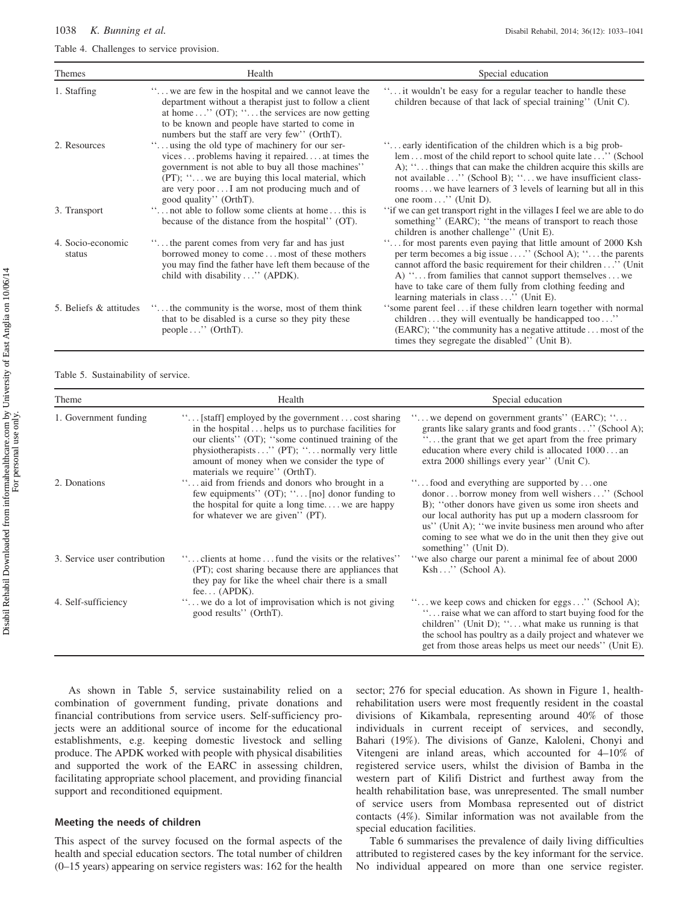<span id="page-5-0"></span>Table 4. Challenges to service provision.

| Themes                      | Health                                                                                                                                                                                                                                                                                | Special education                                                                                                                                                                                                                                                                                                                                           |
|-----------------------------|---------------------------------------------------------------------------------------------------------------------------------------------------------------------------------------------------------------------------------------------------------------------------------------|-------------------------------------------------------------------------------------------------------------------------------------------------------------------------------------------------------------------------------------------------------------------------------------------------------------------------------------------------------------|
| 1. Staffing                 | " we are few in the hospital and we cannot leave the<br>department without a therapist just to follow a client<br>at home" (OT); " the services are now getting<br>to be known and people have started to come in<br>numbers but the staff are very few" (OrthT).                     | " it wouldn't be easy for a regular teacher to handle these<br>children because of that lack of special training" (Unit C).                                                                                                                                                                                                                                 |
| 2. Resources                | " using the old type of machinery for our ser-<br>vicesproblems having it repaired at times the<br>government is not able to buy all those machines"<br>$(PT)$ ; " we are buying this local material, which<br>are very poor I am not producing much and of<br>good quality" (OrthT). | "early identification of the children which is a big prob-<br>lem most of the child report to school quite late" (School<br>A); " things that can make the children acquire this skills are<br>not available " (School B); " we have insufficient class-<br>rooms we have learners of 3 levels of learning but all in this<br>one room $\ldots$ " (Unit D). |
| 3. Transport                | " not able to follow some clients at home this is<br>because of the distance from the hospital'' (OT).                                                                                                                                                                                | "if we can get transport right in the villages I feel we are able to do<br>something" (EARC); "the means of transport to reach those<br>children is another challenge" (Unit E).                                                                                                                                                                            |
| 4. Socio-economic<br>status | " the parent comes from very far and has just<br>borrowed money to comemost of these mothers<br>you may find the father have left them because of the<br>child with disability " (APDK).                                                                                              | " for most parents even paying that little amount of 2000 Ksh<br>cannot afford the basic requirement for their children" (Unit<br>A) " from families that cannot support themselves we<br>have to take care of them fully from clothing feeding and<br>learning materials in class " (Unit E).                                                              |
| 5. Beliefs & attitudes      | " the community is the worse, most of them think<br>that to be disabled is a curse so they pity these<br>$people \dots$ " (OrthT).                                                                                                                                                    | "some parent feel if these children learn together with normal<br>children $\dots$ they will eventually be handicapped too $\dots$ "<br>$(EARC)$ ; "the community has a negative attitude most of the<br>times they segregate the disabled" (Unit B).                                                                                                       |

Table 5. Sustainability of service.

| Theme                        | Health                                                                                                                                                                                                                                                                                                                | Special education                                                                                                                                                                                                                                                                                                                                        |
|------------------------------|-----------------------------------------------------------------------------------------------------------------------------------------------------------------------------------------------------------------------------------------------------------------------------------------------------------------------|----------------------------------------------------------------------------------------------------------------------------------------------------------------------------------------------------------------------------------------------------------------------------------------------------------------------------------------------------------|
| 1. Government funding        | " [staff] employed by the government cost sharing<br>in the hospital helps us to purchase facilities for<br>our clients" (OT); "some continued training of the<br>physiotherapists $\dots$ $'$ (PT); $''\dots$ normally very little<br>amount of money when we consider the type of<br>materials we require" (OrthT). | $\ldots$ we depend on government grants" (EARC); $\ldots$<br>grants like salary grants and food grants " (School A);<br>" the grant that we get apart from the free primary<br>education where every child is allocated 1000an<br>extra 2000 shillings every year" (Unit C).                                                                             |
| 2. Donations                 | " aid from friends and donors who brought in a<br>few equipments" $(OT)$ ; " [no] donor funding to<br>the hospital for quite a long time we are happy<br>for whatever we are given" (PT).                                                                                                                             | " food and everything are supported byone"<br>donorborrow money from well wishers" (School<br>B); "other donors have given us some iron sheets and<br>our local authority has put up a modern classroom for<br>us" (Unit A); "we invite business men around who after<br>coming to see what we do in the unit then they give out<br>something" (Unit D). |
| 3. Service user contribution | " clients at home fund the visits or the relatives"<br>(PT); cost sharing because there are appliances that<br>they pay for like the wheel chair there is a small<br>fee $(APDK)$ .                                                                                                                                   | "we also charge our parent a minimal fee of about 2000<br>$Ksh \ldots$ " (School A).                                                                                                                                                                                                                                                                     |
| 4. Self-sufficiency          | " we do a lot of improvisation which is not giving<br>good results" (OrthT).                                                                                                                                                                                                                                          | " we keep cows and chicken for eggs" (School A);<br>" raise what we can afford to start buying food for the<br>children" (Unit D); " what make us running is that<br>the school has poultry as a daily project and whatever we<br>get from those areas helps us meet our needs" (Unit E).                                                                |

As shown in Table 5, service sustainability relied on a combination of government funding, private donations and financial contributions from service users. Self-sufficiency projects were an additional source of income for the educational establishments, e.g. keeping domestic livestock and selling produce. The APDK worked with people with physical disabilities and supported the work of the EARC in assessing children, facilitating appropriate school placement, and providing financial support and reconditioned equipment.

### Meeting the needs of children

This aspect of the survey focused on the formal aspects of the health and special education sectors. The total number of children (0–15 years) appearing on service registers was: 162 for the health sector; 276 for special education. As shown in [Figure 1,](#page-3-0) healthrehabilitation users were most frequently resident in the coastal divisions of Kikambala, representing around 40% of those individuals in current receipt of services, and secondly, Bahari (19%). The divisions of Ganze, Kaloleni, Chonyi and Vitengeni are inland areas, which accounted for 4–10% of registered service users, whilst the division of Bamba in the western part of Kilifi District and furthest away from the health rehabilitation base, was unrepresented. The small number of service users from Mombasa represented out of district contacts (4%). Similar information was not available from the special education facilities.

[Table 6](#page-6-0) summarises the prevalence of daily living difficulties attributed to registered cases by the key informant for the service. No individual appeared on more than one service register.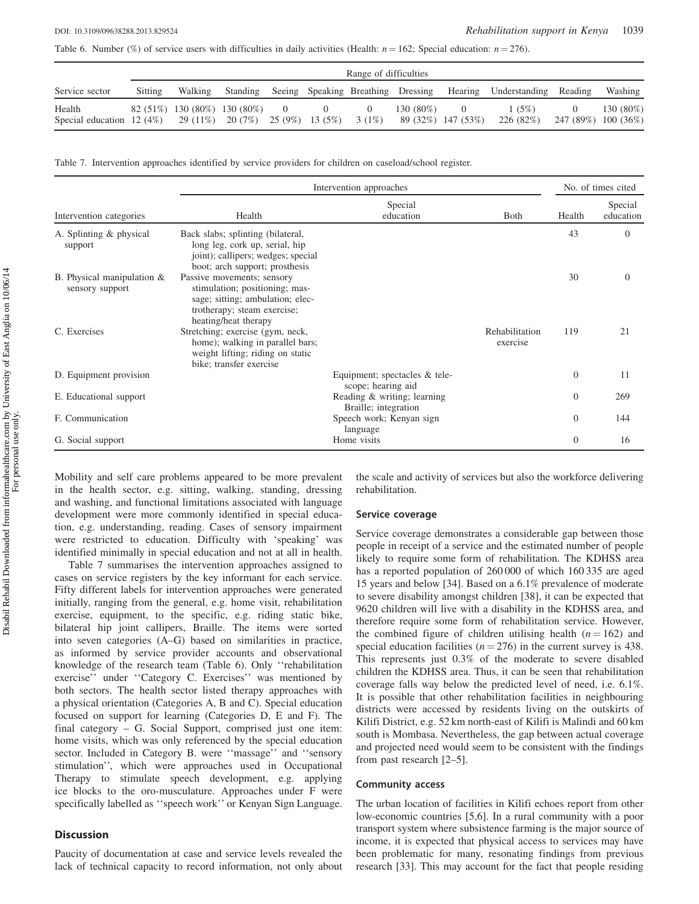<span id="page-6-0"></span>Table 6. Number (%) of service users with difficulties in daily activities (Health:  $n = 162$ ; Special education:  $n = 276$ ).

|                                                                             | Range of difficulties |                                |  |  |  |  |           |                                           |                                                                           |           |
|-----------------------------------------------------------------------------|-----------------------|--------------------------------|--|--|--|--|-----------|-------------------------------------------|---------------------------------------------------------------------------|-----------|
| Service sector                                                              | Sitting               | Walking                        |  |  |  |  |           |                                           | Standing Seeing Speaking Breathing Dressing Hearing Understanding Reading | Washing   |
| Health<br>Special education 12 (4%) 29 (11%) 20 (7%) 25 (9%) 13 (5%) 3 (1%) |                       | 82 (51%) 130 (80%) 130 (80%) 0 |  |  |  |  | 130 (80%) | $\bullet$ $\bullet$<br>89 (32%) 147 (53%) | 1(5%)<br>226 (82%) 247 (89%) 100 (36%)                                    | 130 (80%) |

Table 7. Intervention approaches identified by service providers for children on caseload/school register.

|                                                  | Intervention approaches                                                                                                                                 | No. of times cited                                  |                            |                      |                |
|--------------------------------------------------|---------------------------------------------------------------------------------------------------------------------------------------------------------|-----------------------------------------------------|----------------------------|----------------------|----------------|
| Intervention categories                          | Health                                                                                                                                                  | Both                                                | Health                     | Special<br>education |                |
| A. Splinting & physical<br>support               | Back slabs; splinting (bilateral,<br>long leg, cork up, serial, hip<br>joint); callipers; wedges; special<br>boot; arch support; prosthesis             |                                                     |                            | 43                   | $\Omega$       |
| B. Physical manipulation $\&$<br>sensory support | Passive movements; sensory<br>stimulation; positioning; mas-<br>sage; sitting; ambulation; elec-<br>trotherapy; steam exercise;<br>heating/heat therapy |                                                     |                            | 30                   | $\overline{0}$ |
| C. Exercises                                     | Stretching; exercise (gym, neck,<br>home); walking in parallel bars;<br>weight lifting; riding on static<br>bike; transfer exercise                     |                                                     | Rehabilitation<br>exercise | 119                  | 21             |
| D. Equipment provision                           |                                                                                                                                                         | Equipment; spectacles & tele-<br>scope; hearing aid |                            | $\mathbf{0}$         | 11             |
| E. Educational support                           |                                                                                                                                                         | Reading & writing; learning<br>Braille; integration |                            | $\mathbf{0}$         | 269            |
| F. Communication                                 |                                                                                                                                                         | Speech work; Kenyan sign<br>language                |                            | $\theta$             | 144            |
| G. Social support                                |                                                                                                                                                         | Home visits                                         |                            | $\Omega$             | 16             |

Mobility and self care problems appeared to be more prevalent in the health sector, e.g. sitting, walking, standing, dressing and washing, and functional limitations associated with language development were more commonly identified in special education, e.g. understanding, reading. Cases of sensory impairment were restricted to education. Difficulty with 'speaking' was identified minimally in special education and not at all in health.

Table 7 summarises the intervention approaches assigned to cases on service registers by the key informant for each service. Fifty different labels for intervention approaches were generated initially, ranging from the general, e.g. home visit, rehabilitation exercise, equipment, to the specific, e.g. riding static bike, bilateral hip joint callipers, Braille. The items were sorted into seven categories (A–G) based on similarities in practice, as informed by service provider accounts and observational knowledge of the research team (Table 6). Only ''rehabilitation exercise'' under ''Category C. Exercises'' was mentioned by both sectors. The health sector listed therapy approaches with a physical orientation (Categories A, B and C). Special education focused on support for learning (Categories D, E and F). The final category – G. Social Support, comprised just one item: home visits, which was only referenced by the special education sector. Included in Category B. were ''massage'' and ''sensory stimulation'', which were approaches used in Occupational Therapy to stimulate speech development, e.g. applying ice blocks to the oro-musculature. Approaches under F were specifically labelled as ''speech work'' or Kenyan Sign Language.

# **Discussion**

Paucity of documentation at case and service levels revealed the lack of technical capacity to record information, not only about the scale and activity of services but also the workforce delivering rehabilitation.

#### Service coverage

Service coverage demonstrates a considerable gap between those people in receipt of a service and the estimated number of people likely to require some form of rehabilitation. The KDHSS area has a reported population of 260 000 of which 160 335 are aged 15 years and below [[34](#page-8-0)]. Based on a 6.1% prevalence of moderate to severe disability amongst children [[38](#page-8-0)], it can be expected that 9620 children will live with a disability in the KDHSS area, and therefore require some form of rehabilitation service. However, the combined figure of children utilising health  $(n = 162)$  and special education facilities ( $n = 276$ ) in the current survey is 438. This represents just 0.3% of the moderate to severe disabled children the KDHSS area. Thus, it can be seen that rehabilitation coverage falls way below the predicted level of need, i.e. 6.1%. It is possible that other rehabilitation facilities in neighbouring districts were accessed by residents living on the outskirts of Kilifi District, e.g. 52 km north-east of Kilifi is Malindi and 60 km south is Mombasa. Nevertheless, the gap between actual coverage and projected need would seem to be consistent with the findings from past research [[2–5\]](#page-7-0).

#### Community access

The urban location of facilities in Kilifi echoes report from other low-economic countries [\[5](#page-8-0),[6](#page-8-0)]. In a rural community with a poor transport system where subsistence farming is the major source of income, it is expected that physical access to services may have been problematic for many, resonating findings from previous research [[33](#page-8-0)]. This may account for the fact that people residing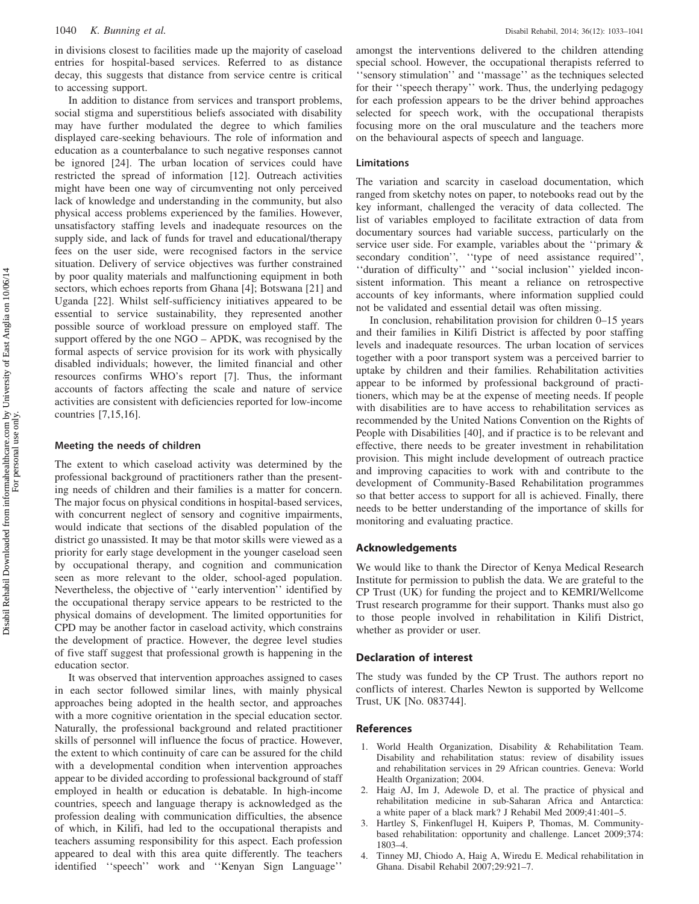<span id="page-7-0"></span>in divisions closest to facilities made up the majority of caseload entries for hospital-based services. Referred to as distance decay, this suggests that distance from service centre is critical to accessing support.

In addition to distance from services and transport problems, social stigma and superstitious beliefs associated with disability may have further modulated the degree to which families displayed care-seeking behaviours. The role of information and education as a counterbalance to such negative responses cannot be ignored [\[24\]](#page-8-0). The urban location of services could have restricted the spread of information [[12](#page-8-0)]. Outreach activities might have been one way of circumventing not only perceived lack of knowledge and understanding in the community, but also physical access problems experienced by the families. However, unsatisfactory staffing levels and inadequate resources on the supply side, and lack of funds for travel and educational/therapy fees on the user side, were recognised factors in the service situation. Delivery of service objectives was further constrained by poor quality materials and malfunctioning equipment in both sectors, which echoes reports from Ghana [4]; Botswana [[21](#page-8-0)] and Uganda [[22](#page-8-0)]. Whilst self-sufficiency initiatives appeared to be essential to service sustainability, they represented another possible source of workload pressure on employed staff. The support offered by the one NGO – APDK, was recognised by the formal aspects of service provision for its work with physically disabled individuals; however, the limited financial and other resources confirms WHO's report [[7](#page-8-0)]. Thus, the informant accounts of factors affecting the scale and nature of service activities are consistent with deficiencies reported for low-income countries [\[7,15,16](#page-8-0)].

## Meeting the needs of children

The extent to which caseload activity was determined by the professional background of practitioners rather than the presenting needs of children and their families is a matter for concern. The major focus on physical conditions in hospital-based services, with concurrent neglect of sensory and cognitive impairments, would indicate that sections of the disabled population of the district go unassisted. It may be that motor skills were viewed as a priority for early stage development in the younger caseload seen by occupational therapy, and cognition and communication seen as more relevant to the older, school-aged population. Nevertheless, the objective of ''early intervention'' identified by the occupational therapy service appears to be restricted to the physical domains of development. The limited opportunities for CPD may be another factor in caseload activity, which constrains the development of practice. However, the degree level studies of five staff suggest that professional growth is happening in the education sector.

It was observed that intervention approaches assigned to cases in each sector followed similar lines, with mainly physical approaches being adopted in the health sector, and approaches with a more cognitive orientation in the special education sector. Naturally, the professional background and related practitioner skills of personnel will influence the focus of practice. However, the extent to which continuity of care can be assured for the child with a developmental condition when intervention approaches appear to be divided according to professional background of staff employed in health or education is debatable. In high-income countries, speech and language therapy is acknowledged as the profession dealing with communication difficulties, the absence of which, in Kilifi, had led to the occupational therapists and teachers assuming responsibility for this aspect. Each profession appeared to deal with this area quite differently. The teachers identified ''speech'' work and ''Kenyan Sign Language''

amongst the interventions delivered to the children attending special school. However, the occupational therapists referred to ''sensory stimulation'' and ''massage'' as the techniques selected for their ''speech therapy'' work. Thus, the underlying pedagogy for each profession appears to be the driver behind approaches selected for speech work, with the occupational therapists focusing more on the oral musculature and the teachers more on the behavioural aspects of speech and language.

# Limitations

The variation and scarcity in caseload documentation, which ranged from sketchy notes on paper, to notebooks read out by the key informant, challenged the veracity of data collected. The list of variables employed to facilitate extraction of data from documentary sources had variable success, particularly on the service user side. For example, variables about the ''primary & secondary condition'', ''type of need assistance required'', ''duration of difficulty'' and ''social inclusion'' yielded inconsistent information. This meant a reliance on retrospective accounts of key informants, where information supplied could not be validated and essential detail was often missing.

In conclusion, rehabilitation provision for children 0–15 years and their families in Kilifi District is affected by poor staffing levels and inadequate resources. The urban location of services together with a poor transport system was a perceived barrier to uptake by children and their families. Rehabilitation activities appear to be informed by professional background of practitioners, which may be at the expense of meeting needs. If people with disabilities are to have access to rehabilitation services as recommended by the United Nations Convention on the Rights of People with Disabilities [\[40\]](#page-8-0), and if practice is to be relevant and effective, there needs to be greater investment in rehabilitation provision. This might include development of outreach practice and improving capacities to work with and contribute to the development of Community-Based Rehabilitation programmes so that better access to support for all is achieved. Finally, there needs to be better understanding of the importance of skills for monitoring and evaluating practice.

# Acknowledgements

We would like to thank the Director of Kenya Medical Research Institute for permission to publish the data. We are grateful to the CP Trust (UK) for funding the project and to KEMRI/Wellcome Trust research programme for their support. Thanks must also go to those people involved in rehabilitation in Kilifi District, whether as provider or user.

### Declaration of interest

The study was funded by the CP Trust. The authors report no conflicts of interest. Charles Newton is supported by Wellcome Trust, UK [No. 083744].

#### References

- 1. World Health Organization, Disability & Rehabilitation Team. Disability and rehabilitation status: review of disability issues and rehabilitation services in 29 African countries. Geneva: World Health Organization; 2004.
- 2. Haig AJ, Im J, Adewole D, et al. The practice of physical and rehabilitation medicine in sub-Saharan Africa and Antarctica: a white paper of a black mark? J Rehabil Med 2009;41:401–5.
- 3. Hartley S, Finkenflugel H, Kuipers P, Thomas, M. Communitybased rehabilitation: opportunity and challenge. Lancet 2009;374: 1803–4.
- 4. Tinney MJ, Chiodo A, Haig A, Wiredu E. Medical rehabilitation in Ghana. Disabil Rehabil 2007;29:921–7.